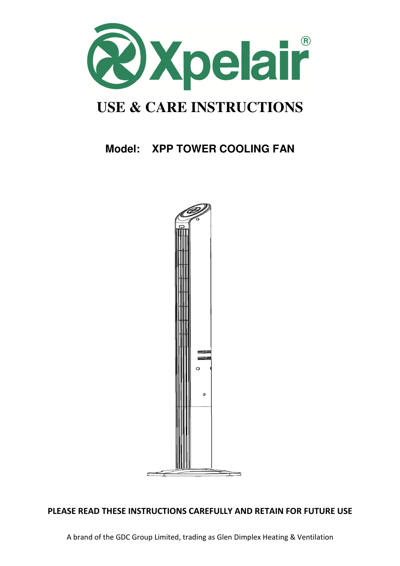

# **USE & CARE INSTRUCTIONS**

# **Model: XPP TOWER COOLING FAN**



## PLEASE READ THESE INSTRUCTIONS CAREFULLY AND RETAIN FOR FUTURE USE

A brand of the GDC Group Limited, trading as Glen Dimplex Heating & Ventilation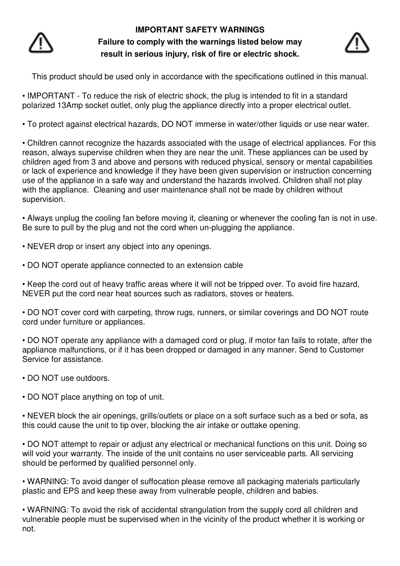

# **IMPORTANT SAFETY WARNINGS Failure to comply with the warnings listed below may result in serious injury, risk of fire or electric shock.**



This product should be used only in accordance with the specifications outlined in this manual.

• IMPORTANT - To reduce the risk of electric shock, the plug is intended to fit in a standard polarized 13Amp socket outlet, only plug the appliance directly into a proper electrical outlet.

• To protect against electrical hazards, DO NOT immerse in water/other liquids or use near water.

• Children cannot recognize the hazards associated with the usage of electrical appliances. For this reason, always supervise children when they are near the unit. These appliances can be used by children aged from 3 and above and persons with reduced physical, sensory or mental capabilities or lack of experience and knowledge if they have been given supervision or instruction concerning use of the appliance in a safe way and understand the hazards involved. Children shall not play with the appliance. Cleaning and user maintenance shall not be made by children without supervision.

• Always unplug the cooling fan before moving it, cleaning or whenever the cooling fan is not in use. Be sure to pull by the plug and not the cord when un-plugging the appliance.

- NEVER drop or insert any object into any openings.
- DO NOT operate appliance connected to an extension cable

• Keep the cord out of heavy traffic areas where it will not be tripped over. To avoid fire hazard, NEVER put the cord near heat sources such as radiators, stoves or heaters.

• DO NOT cover cord with carpeting, throw rugs, runners, or similar coverings and DO NOT route cord under furniture or appliances.

• DO NOT operate any appliance with a damaged cord or plug, if motor fan fails to rotate, after the appliance malfunctions, or if it has been dropped or damaged in any manner. Send to Customer Service for assistance.

- DO NOT use outdoors.
- DO NOT place anything on top of unit.

• NEVER block the air openings, grills/outlets or place on a soft surface such as a bed or sofa, as this could cause the unit to tip over, blocking the air intake or outtake opening.

• DO NOT attempt to repair or adjust any electrical or mechanical functions on this unit. Doing so will void your warranty. The inside of the unit contains no user serviceable parts. All servicing should be performed by qualified personnel only.

• WARNING: To avoid danger of suffocation please remove all packaging materials particularly plastic and EPS and keep these away from vulnerable people, children and babies.

• WARNING: To avoid the risk of accidental strangulation from the supply cord all children and vulnerable people must be supervised when in the vicinity of the product whether it is working or not.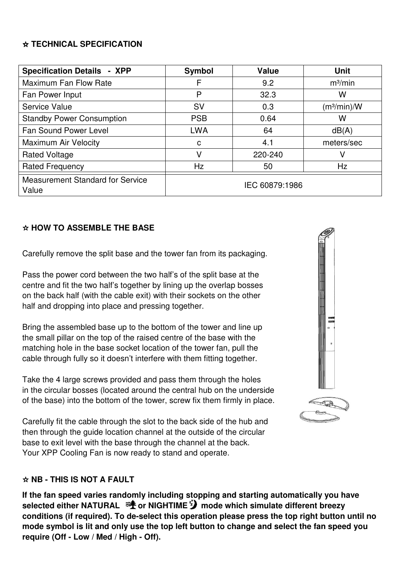#### ☆ **TECHNICAL SPECIFICATION**

| <b>Specification Details - XPP</b>               | <b>Symbol</b>  | <b>Value</b> | <b>Unit</b>             |
|--------------------------------------------------|----------------|--------------|-------------------------|
| Maximum Fan Flow Rate                            | F              | 9.2          | m <sup>3</sup> /min     |
| Fan Power Input                                  | P              | 32.3         | W                       |
| Service Value                                    | <b>SV</b>      | 0.3          | (m <sup>3</sup> /min)/W |
| <b>Standby Power Consumption</b>                 | <b>PSB</b>     | 0.64         | W                       |
| <b>Fan Sound Power Level</b>                     | <b>LWA</b>     | 64           | dB(A)                   |
| <b>Maximum Air Velocity</b>                      | C              | 4.1          | meters/sec              |
| <b>Rated Voltage</b>                             | V              | 220-240      | V                       |
| <b>Rated Frequency</b>                           | <b>Hz</b>      | 50           | Hz                      |
| <b>Measurement Standard for Service</b><br>Value | IEC 60879:1986 |              |                         |

#### ☆ **HOW TO ASSEMBLE THE BASE**

Carefully remove the split base and the tower fan from its packaging.

Pass the power cord between the two half's of the split base at the centre and fit the two half's together by lining up the overlap bosses on the back half (with the cable exit) with their sockets on the other half and dropping into place and pressing together.

Bring the assembled base up to the bottom of the tower and line up the small pillar on the top of the raised centre of the base with the matching hole in the base socket location of the tower fan, pull the cable through fully so it doesn't interfere with them fitting together.

Take the 4 large screws provided and pass them through the holes in the circular bosses (located around the central hub on the underside of the base) into the bottom of the tower, screw fix them firmly in place.

Carefully fit the cable through the slot to the back side of the hub and then through the guide location channel at the outside of the circular base to exit level with the base through the channel at the back. Your XPP Cooling Fan is now ready to stand and operate.

#### ☆ **NB - THIS IS NOT A FAULT**

**If the fan speed varies randomly including stopping and starting automatically you have**  selected either NATURAL  $\mathcal{F}$  or NIGHTIME<sup>7</sup>/ mode which simulate different breezy **conditions (if required). To de-select this operation please press the top right button until no mode symbol is lit and only use the top left button to change and select the fan speed you require (Off - Low / Med / High - Off).** 

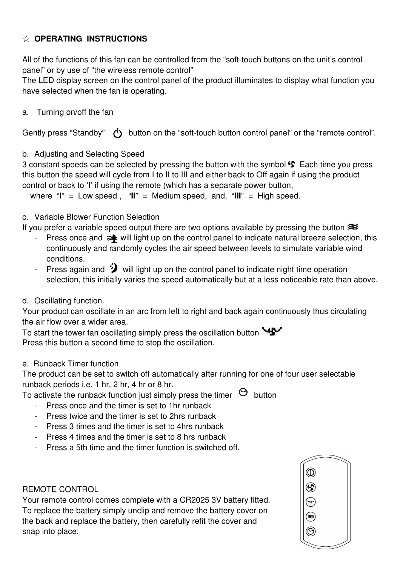# ☆ **OPERATING INSTRUCTIONS**

All of the functions of this fan can be controlled from the "soft-touch buttons on the unit's control panel" or by use of "the wireless remote control"

The LED display screen on the control panel of the product illuminates to display what function you have selected when the fan is operating.

#### a. Turning on/off the fan

Gently press "Standby"  $\left\{ \right\}$  button on the "soft-touch button control panel" or the "remote control".

#### b. Adjusting and Selecting Speed

3 constant speeds can be selected by pressing the button with the symbol  $\mathcal{F}$  Each time you press this button the speed will cycle from I to II to III and either back to Off again if using the product control or back to 'I' if using the remote (which has a separate power button,

where  $\mathbf{u} = \mathbf{v}$  =  $\mathbf{v} = \mathbf{v}$  =  $\mathbf{v} = \mathbf{v}$  =  $\mathbf{v} = \mathbf{v}$  =  $\mathbf{v} = \mathbf{v}$  =  $\mathbf{v} = \mathbf{v}$  =  $\mathbf{v} = \mathbf{v}$  =  $\mathbf{v} = \mathbf{v}$  =  $\mathbf{v} = \mathbf{v}$  =  $\mathbf{v} = \mathbf{v}$  =  $\mathbf{v} = \mathbf{v}$  =  $\mathbf{v} = \mathbf{v}$  =

#### c. Variable Blower Function Selection

If you prefer a variable speed output there are two options available by pressing the button  $\approx$ 

- Press once and  $\equiv \qquad \qquad$  will light up on the control panel to indicate natural breeze selection, this continuously and randomly cycles the air speed between levels to simulate variable wind conditions.
- Press again and  $\mathcal{V}$  will light up on the control panel to indicate night time operation selection, this initially varies the speed automatically but at a less noticeable rate than above.

#### d. Oscillating function.

Your product can oscillate in an arc from left to right and back again continuously thus circulating the air flow over a wider area.

To start the tower fan oscillating simply press the oscillation button Press this button a second time to stop the oscillation.

#### e. Runback Timer function

The product can be set to switch off automatically after running for one of four user selectable runback periods i.e. 1 hr, 2 hr, 4 hr or 8 hr.

To activate the runback function just simply press the timer  $\Theta$  button

- Press once and the timer is set to 1hr runback
- Press twice and the timer is set to 2hrs runback
- Press 3 times and the timer is set to 4hrs runback
- Press 4 times and the timer is set to 8 hrs runback
- Press a 5th time and the timer function is switched off.

#### REMOTE CONTROL

Your remote control comes complete with a CR2025 3V battery fitted. To replace the battery simply unclip and remove the battery cover on the back and replace the battery, then carefully refit the cover and snap into place.

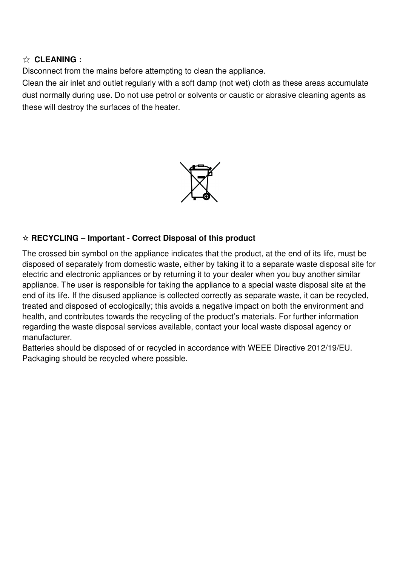#### ☆ **CLEANING**:

Disconnect from the mains before attempting to clean the appliance.

Clean the air inlet and outlet regularly with a soft damp (not wet) cloth as these areas accumulate dust normally during use. Do not use petrol or solvents or caustic or abrasive cleaning agents as these will destroy the surfaces of the heater.



#### ☆ **RECYCLING – Important - Correct Disposal of this product**

The crossed bin symbol on the appliance indicates that the product, at the end of its life, must be disposed of separately from domestic waste, either by taking it to a separate waste disposal site for electric and electronic appliances or by returning it to your dealer when you buy another similar appliance. The user is responsible for taking the appliance to a special waste disposal site at the end of its life. If the disused appliance is collected correctly as separate waste, it can be recycled, treated and disposed of ecologically; this avoids a negative impact on both the environment and health, and contributes towards the recycling of the product's materials. For further information regarding the waste disposal services available, contact your local waste disposal agency or manufacturer.

Batteries should be disposed of or recycled in accordance with WEEE Directive 2012/19/EU. Packaging should be recycled where possible.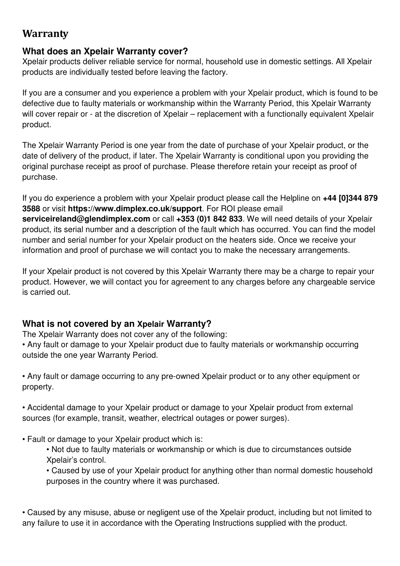# **Warranty**

# **What does an Xpelair Warranty cover?**

Xpelair products deliver reliable service for normal, household use in domestic settings. All Xpelair products are individually tested before leaving the factory.

If you are a consumer and you experience a problem with your Xpelair product, which is found to be defective due to faulty materials or workmanship within the Warranty Period, this Xpelair Warranty will cover repair or - at the discretion of Xpelair – replacement with a functionally equivalent Xpelair product.

The Xpelair Warranty Period is one year from the date of purchase of your Xpelair product, or the date of delivery of the product, if later. The Xpelair Warranty is conditional upon you providing the original purchase receipt as proof of purchase. Please therefore retain your receipt as proof of purchase.

If you do experience a problem with your Xpelair product please call the Helpline on **+44 [0]344 879 3588** or visit **https://www.dimplex.co.uk/support**. For ROI please email **serviceireland@glendimplex.com** or call **+353 (0)1 842 833**. We will need details of your Xpelair product, its serial number and a description of the fault which has occurred. You can find the model number and serial number for your Xpelair product on the heaters side. Once we receive your information and proof of purchase we will contact you to make the necessary arrangements.

If your Xpelair product is not covered by this Xpelair Warranty there may be a charge to repair your product. However, we will contact you for agreement to any charges before any chargeable service is carried out.

# **What is not covered by an Xpelair Warranty?**

The Xpelair Warranty does not cover any of the following:

• Any fault or damage to your Xpelair product due to faulty materials or workmanship occurring outside the one year Warranty Period.

• Any fault or damage occurring to any pre-owned Xpelair product or to any other equipment or property.

• Accidental damage to your Xpelair product or damage to your Xpelair product from external sources (for example, transit, weather, electrical outages or power surges).

- Fault or damage to your Xpelair product which is:
	- Not due to faulty materials or workmanship or which is due to circumstances outside Xpelair's control.

• Caused by use of your Xpelair product for anything other than normal domestic household purposes in the country where it was purchased.

• Caused by any misuse, abuse or negligent use of the Xpelair product, including but not limited to any failure to use it in accordance with the Operating Instructions supplied with the product.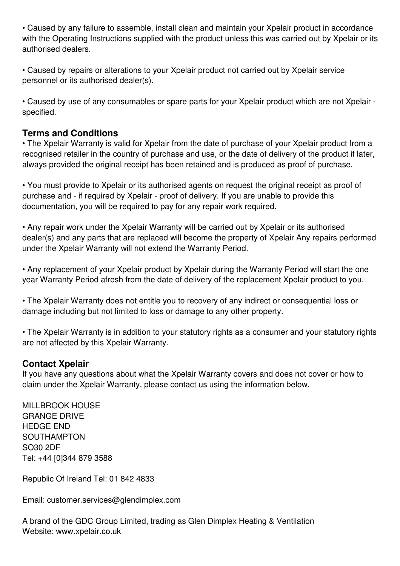• Caused by any failure to assemble, install clean and maintain your Xpelair product in accordance with the Operating Instructions supplied with the product unless this was carried out by Xpelair or its authorised dealers.

• Caused by repairs or alterations to your Xpelair product not carried out by Xpelair service personnel or its authorised dealer(s).

• Caused by use of any consumables or spare parts for your Xpelair product which are not Xpelair specified.

# **Terms and Conditions**

• The Xpelair Warranty is valid for Xpelair from the date of purchase of your Xpelair product from a recognised retailer in the country of purchase and use, or the date of delivery of the product if later, always provided the original receipt has been retained and is produced as proof of purchase.

• You must provide to Xpelair or its authorised agents on request the original receipt as proof of purchase and - if required by Xpelair - proof of delivery. If you are unable to provide this documentation, you will be required to pay for any repair work required.

• Any repair work under the Xpelair Warranty will be carried out by Xpelair or its authorised dealer(s) and any parts that are replaced will become the property of Xpelair Any repairs performed under the Xpelair Warranty will not extend the Warranty Period.

• Any replacement of your Xpelair product by Xpelair during the Warranty Period will start the one year Warranty Period afresh from the date of delivery of the replacement Xpelair product to you.

• The Xpelair Warranty does not entitle you to recovery of any indirect or consequential loss or damage including but not limited to loss or damage to any other property.

• The Xpelair Warranty is in addition to your statutory rights as a consumer and your statutory rights are not affected by this Xpelair Warranty.

#### **Contact Xpelair**

If you have any questions about what the Xpelair Warranty covers and does not cover or how to claim under the Xpelair Warranty, please contact us using the information below.

MILLBROOK HOUSE GRANGE DRIVE HEDGE END SOUTHAMPTON SO30 2DF Tel: +44 [0]344 879 3588

Republic Of Ireland Tel: 01 842 4833

Email: customer.services@glendimplex.com

A brand of the GDC Group Limited, trading as Glen Dimplex Heating & Ventilation Website: www.xpelair.co.uk